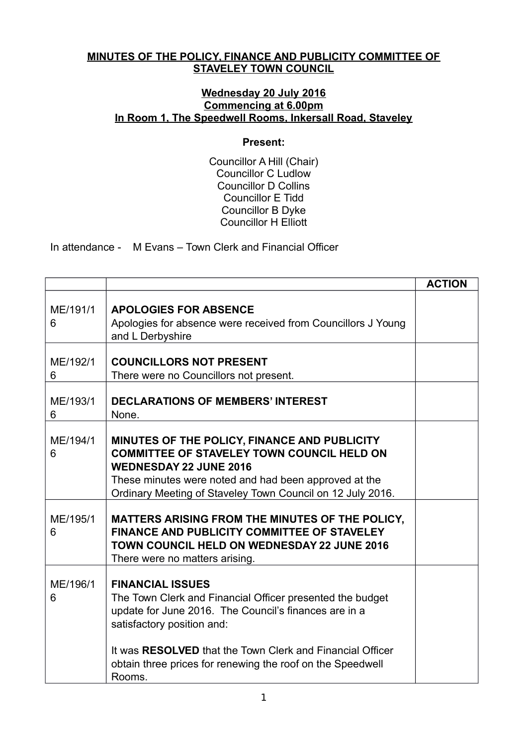## **MINUTES OF THE POLICY, FINANCE AND PUBLICITY COMMITTEE OF STAVELEY TOWN COUNCIL**

## **Wednesday 20 July 2016 Commencing at 6.00pm In Room 1, The Speedwell Rooms, Inkersall Road, Staveley**

## **Present:**

Councillor A Hill (Chair) Councillor C Ludlow Councillor D Collins Councillor E Tidd Councillor B Dyke Councillor H Elliott

In attendance - M Evans – Town Clerk and Financial Officer

|               |                                                                                                                                                                                                                                                           | <b>ACTION</b> |
|---------------|-----------------------------------------------------------------------------------------------------------------------------------------------------------------------------------------------------------------------------------------------------------|---------------|
| ME/191/1<br>6 | <b>APOLOGIES FOR ABSENCE</b><br>Apologies for absence were received from Councillors J Young<br>and L Derbyshire                                                                                                                                          |               |
| ME/192/1<br>6 | <b>COUNCILLORS NOT PRESENT</b><br>There were no Councillors not present.                                                                                                                                                                                  |               |
| ME/193/1<br>6 | <b>DECLARATIONS OF MEMBERS' INTEREST</b><br>None.                                                                                                                                                                                                         |               |
| ME/194/1<br>6 | MINUTES OF THE POLICY, FINANCE AND PUBLICITY<br><b>COMMITTEE OF STAVELEY TOWN COUNCIL HELD ON</b><br><b>WEDNESDAY 22 JUNE 2016</b><br>These minutes were noted and had been approved at the<br>Ordinary Meeting of Staveley Town Council on 12 July 2016. |               |
| ME/195/1<br>6 | MATTERS ARISING FROM THE MINUTES OF THE POLICY,<br><b>FINANCE AND PUBLICITY COMMITTEE OF STAVELEY</b><br><b>TOWN COUNCIL HELD ON WEDNESDAY 22 JUNE 2016</b><br>There were no matters arising.                                                             |               |
| ME/196/1<br>6 | <b>FINANCIAL ISSUES</b><br>The Town Clerk and Financial Officer presented the budget<br>update for June 2016. The Council's finances are in a<br>satisfactory position and:<br>It was RESOLVED that the Town Clerk and Financial Officer                  |               |
|               | obtain three prices for renewing the roof on the Speedwell<br>Rooms.                                                                                                                                                                                      |               |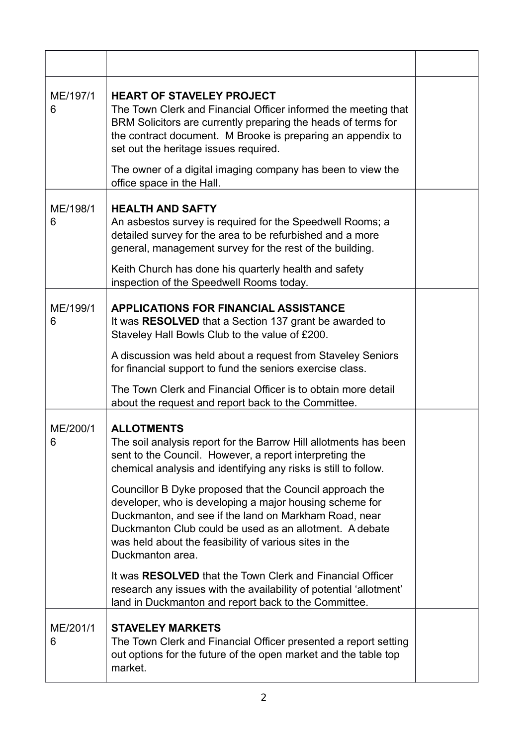| ME/197/1<br>6 | <b>HEART OF STAVELEY PROJECT</b><br>The Town Clerk and Financial Officer informed the meeting that<br>BRM Solicitors are currently preparing the heads of terms for<br>the contract document. M Brooke is preparing an appendix to<br>set out the heritage issues required.                                           |  |
|---------------|-----------------------------------------------------------------------------------------------------------------------------------------------------------------------------------------------------------------------------------------------------------------------------------------------------------------------|--|
|               | The owner of a digital imaging company has been to view the<br>office space in the Hall.                                                                                                                                                                                                                              |  |
| ME/198/1<br>6 | <b>HEALTH AND SAFTY</b><br>An asbestos survey is required for the Speedwell Rooms; a<br>detailed survey for the area to be refurbished and a more<br>general, management survey for the rest of the building.                                                                                                         |  |
|               | Keith Church has done his quarterly health and safety<br>inspection of the Speedwell Rooms today.                                                                                                                                                                                                                     |  |
| ME/199/1<br>6 | <b>APPLICATIONS FOR FINANCIAL ASSISTANCE</b><br>It was RESOLVED that a Section 137 grant be awarded to<br>Staveley Hall Bowls Club to the value of £200.                                                                                                                                                              |  |
|               | A discussion was held about a request from Staveley Seniors<br>for financial support to fund the seniors exercise class.                                                                                                                                                                                              |  |
|               | The Town Clerk and Financial Officer is to obtain more detail<br>about the request and report back to the Committee.                                                                                                                                                                                                  |  |
| ME/200/1<br>6 | <b>ALLOTMENTS</b><br>The soil analysis report for the Barrow Hill allotments has been<br>sent to the Council. However, a report interpreting the<br>chemical analysis and identifying any risks is still to follow.                                                                                                   |  |
|               | Councillor B Dyke proposed that the Council approach the<br>developer, who is developing a major housing scheme for<br>Duckmanton, and see if the land on Markham Road, near<br>Duckmanton Club could be used as an allotment. A debate<br>was held about the feasibility of various sites in the<br>Duckmanton area. |  |
|               | It was <b>RESOLVED</b> that the Town Clerk and Financial Officer<br>research any issues with the availability of potential 'allotment'<br>land in Duckmanton and report back to the Committee.                                                                                                                        |  |
| ME/201/1<br>6 | <b>STAVELEY MARKETS</b><br>The Town Clerk and Financial Officer presented a report setting<br>out options for the future of the open market and the table top<br>market.                                                                                                                                              |  |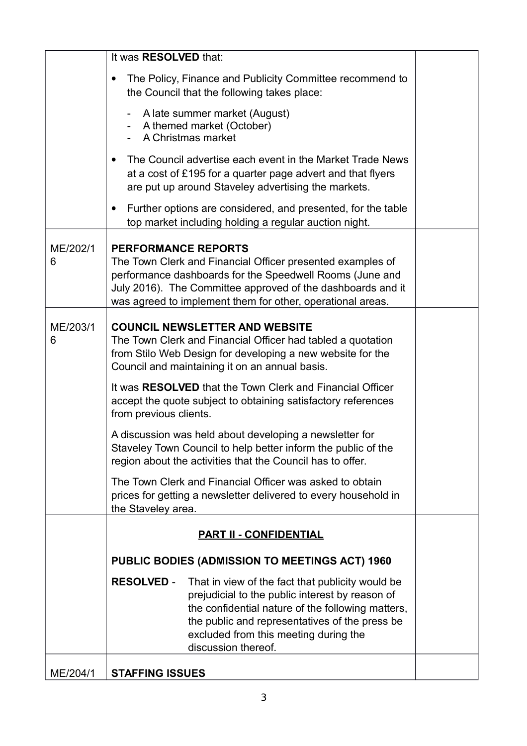|               | It was RESOLVED that:                                                                                                                                                                                                                                                                           |  |
|---------------|-------------------------------------------------------------------------------------------------------------------------------------------------------------------------------------------------------------------------------------------------------------------------------------------------|--|
|               | The Policy, Finance and Publicity Committee recommend to<br>٠<br>the Council that the following takes place:                                                                                                                                                                                    |  |
|               | A late summer market (August)<br>$\overline{\phantom{0}}$<br>A themed market (October)<br>A Christmas market                                                                                                                                                                                    |  |
|               | The Council advertise each event in the Market Trade News<br>$\bullet$<br>at a cost of £195 for a quarter page advert and that flyers<br>are put up around Staveley advertising the markets.                                                                                                    |  |
|               | Further options are considered, and presented, for the table<br>٠<br>top market including holding a regular auction night.                                                                                                                                                                      |  |
| ME/202/1<br>6 | <b>PERFORMANCE REPORTS</b><br>The Town Clerk and Financial Officer presented examples of<br>performance dashboards for the Speedwell Rooms (June and<br>July 2016). The Committee approved of the dashboards and it<br>was agreed to implement them for other, operational areas.               |  |
| ME/203/1<br>6 | <b>COUNCIL NEWSLETTER AND WEBSITE</b><br>The Town Clerk and Financial Officer had tabled a quotation<br>from Stilo Web Design for developing a new website for the<br>Council and maintaining it on an annual basis.                                                                            |  |
|               | It was RESOLVED that the Town Clerk and Financial Officer<br>accept the quote subject to obtaining satisfactory references<br>from previous clients.                                                                                                                                            |  |
|               | A discussion was held about developing a newsletter for<br>Staveley Town Council to help better inform the public of the<br>region about the activities that the Council has to offer.                                                                                                          |  |
|               | The Town Clerk and Financial Officer was asked to obtain<br>prices for getting a newsletter delivered to every household in<br>the Staveley area.                                                                                                                                               |  |
|               | <b>PART II - CONFIDENTIAL</b>                                                                                                                                                                                                                                                                   |  |
|               | PUBLIC BODIES (ADMISSION TO MEETINGS ACT) 1960                                                                                                                                                                                                                                                  |  |
|               | <b>RESOLVED -</b><br>That in view of the fact that publicity would be<br>prejudicial to the public interest by reason of<br>the confidential nature of the following matters,<br>the public and representatives of the press be<br>excluded from this meeting during the<br>discussion thereof. |  |
| ME/204/1      | <b>STAFFING ISSUES</b>                                                                                                                                                                                                                                                                          |  |